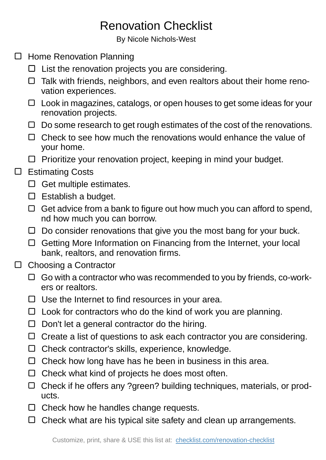## Renovation Checklist

By Nicole Nichols-West

- □ Home Renovation Planning
	- $\Box$  List the renovation projects you are considering.
	- $\Box$  Talk with friends, neighbors, and even realtors about their home renovation experiences.
	- $\Box$  Look in magazines, catalogs, or open houses to get some ideas for your renovation projects.
	- $\Box$  Do some research to get rough estimates of the cost of the renovations.
	- $\Box$  Check to see how much the renovations would enhance the value of your home.
	- $\Box$  Prioritize your renovation project, keeping in mind your budget.

## □ Estimating Costs

- $\Box$  Get multiple estimates.
- $\square$  Establish a budget.
- $\Box$  Get advice from a bank to figure out how much you can afford to spend, nd how much you can borrow.
- $\Box$  Do consider renovations that give you the most bang for your buck.
- □ Getting More Information on Financing from the Internet, your local bank, realtors, and renovation firms.
- $\Box$ Choosing a Contractor
	- $\Box$  Go with a contractor who was recommended to you by friends, co-workers or realtors.
	- $\Box$  Use the Internet to find resources in your area.
	- $\Box$  Look for contractors who do the kind of work you are planning.
	- $\Box$  Don't let a general contractor do the hiring.
	- □ Create a list of questions to ask each contractor you are considering.
	- $\Box$  Check contractor's skills, experience, knowledge.
	- $\Box$  Check how long have has he been in business in this area.
	- $\Box$  Check what kind of projects he does most often.
	- $\Box$  Check if he offers any ?green? building techniques, materials, or products.
	- $\Box$  Check how he handles change requests.
	- $\Box$  Check what are his typical site safety and clean up arrangements.